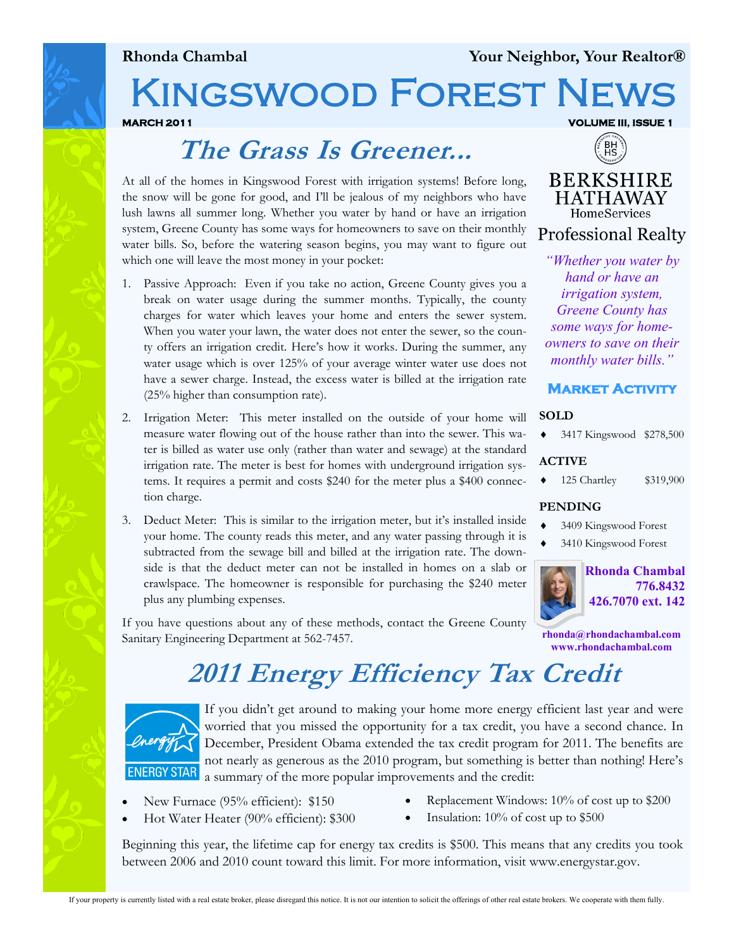### **Rhonda Chambal Your Neighbor, Your Realtor®**

# KINGSWOOD FOREST NE

**MARCH 2011 VOLUME III, ISSUE 1** 

# **The Grass Is Greener...**

At all of the homes in Kingswood Forest with irrigation systems! Before long, the snow will be gone for good, and I'll be jealous of my neighbors who have lush lawns all summer long. Whether you water by hand or have an irrigation system, Greene County has some ways for homeowners to save on their monthly water bills. So, before the watering season begins, you may want to figure out which one will leave the most money in your pocket:

- 1. Passive Approach: Even if you take no action, Greene County gives you a break on water usage during the summer months. Typically, the county charges for water which leaves your home and enters the sewer system. When you water your lawn, the water does not enter the sewer, so the county offers an irrigation credit. Here's how it works. During the summer, any water usage which is over 125% of your average winter water use does not have a sewer charge. Instead, the excess water is billed at the irrigation rate (25% higher than consumption rate).
- 2. Irrigation Meter: This meter installed on the outside of your home will measure water flowing out of the house rather than into the sewer. This water is billed as water use only (rather than water and sewage) at the standard irrigation rate. The meter is best for homes with underground irrigation systems. It requires a permit and costs \$240 for the meter plus a \$400 connection charge.
- 3. Deduct Meter: This is similar to the irrigation meter, but it's installed inside your home. The county reads this meter, and any water passing through it is subtracted from the sewage bill and billed at the irrigation rate. The downside is that the deduct meter can not be installed in homes on a slab or crawlspace. The homeowner is responsible for purchasing the \$240 meter plus any plumbing expenses.

If you have questions about any of these methods, contact the Greene County Sanitary Engineering Department at 562-7457.

## **BERKSHIRE HATHAWAY HomeServices**

BH<br>HS

**Professional Realty** 

*"Whether you water by hand or have an irrigation system, Greene County has some ways for homeowners to save on their monthly water bills."* 

### **Market Activity**

#### **SOLD**

3417 Kingswood \$278,500

#### **ACTIVE**

125 Chartley \$319,900

#### **PENDING**

- 3409 Kingswood Forest
- 3410 Kingswood Forest



**rhonda@rhondachambal.com www.rhondachambal.com**

# **2011 Energy Efficiency Tax Credit**



If you didn't get around to making your home more energy efficient last year and were worried that you missed the opportunity for a tax credit, you have a second chance. In December, President Obama extended the tax credit program for 2011. The benefits are not nearly as generous as the 2010 program, but something is better than nothing! Here's a summary of the more popular improvements and the credit:

- New Furnace (95% efficient): \$150
- Replacement Windows: 10% of cost up to \$200
- Hot Water Heater (90% efficient): \$300
- Insulation:  $10\%$  of cost up to \$500

Beginning this year, the lifetime cap for energy tax credits is \$500. This means that any credits you took between 2006 and 2010 count toward this limit. For more information, visit www.energystar.gov.